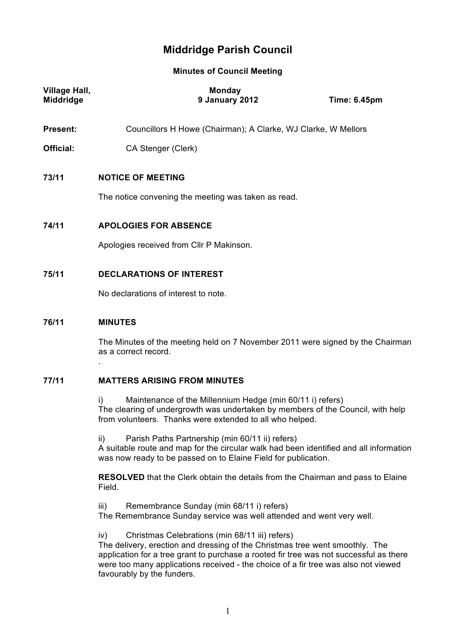# **Middridge Parish Council**

**Minutes of Council Meeting**

| <b>Village Hall,</b><br>Middridge | Monday<br>9 January 2012                                                                                                                                                                                           | <b>Time: 6.45pm</b> |  |
|-----------------------------------|--------------------------------------------------------------------------------------------------------------------------------------------------------------------------------------------------------------------|---------------------|--|
| <b>Present:</b>                   | Councillors H Howe (Chairman); A Clarke, WJ Clarke, W Mellors                                                                                                                                                      |                     |  |
| Official:                         | CA Stenger (Clerk)                                                                                                                                                                                                 |                     |  |
| 73/11                             | <b>NOTICE OF MEETING</b>                                                                                                                                                                                           |                     |  |
|                                   | The notice convening the meeting was taken as read.                                                                                                                                                                |                     |  |
| 74/11                             | <b>APOLOGIES FOR ABSENCE</b>                                                                                                                                                                                       |                     |  |
|                                   | Apologies received from CIIr P Makinson.                                                                                                                                                                           |                     |  |
| 75/11                             | <b>DECLARATIONS OF INTEREST</b>                                                                                                                                                                                    |                     |  |
|                                   | No declarations of interest to note.                                                                                                                                                                               |                     |  |
| 76/11                             | <b>MINUTES</b>                                                                                                                                                                                                     |                     |  |
|                                   | The Minutes of the meeting held on 7 November 2011 were signed by the Chairman<br>as a correct record.                                                                                                             |                     |  |
| 77/11                             | <b>MATTERS ARISING FROM MINUTES</b>                                                                                                                                                                                |                     |  |
|                                   | Maintenance of the Millennium Hedge (min 60/11 i) refers)<br>i)<br>The clearing of undergrowth was undertaken by members of the Council, with help<br>from volunteers. Thanks were extended to all who helped.     |                     |  |
|                                   | Parish Paths Partnership (min 60/11 ii) refers)<br>ii)<br>A suitable route and map for the circular walk had been identified and all information<br>was now ready to be passed on to Elaine Field for publication. |                     |  |
|                                   | <b>RESOLVED</b> that the Clerk obtain the details from the Chairman and pass to Elaine<br>Field.                                                                                                                   |                     |  |
|                                   | Remembrance Sunday (min 68/11 i) refers)<br>iii)<br>The Remembrance Sunday service was well attended and went very well.                                                                                           |                     |  |

iv) Christmas Celebrations (min 68/11 iii) refers)

The delivery, erection and dressing of the Christmas tree went smoothly. The application for a tree grant to purchase a rooted fir tree was not successful as there were too many applications received - the choice of a fir tree was also not viewed favourably by the funders.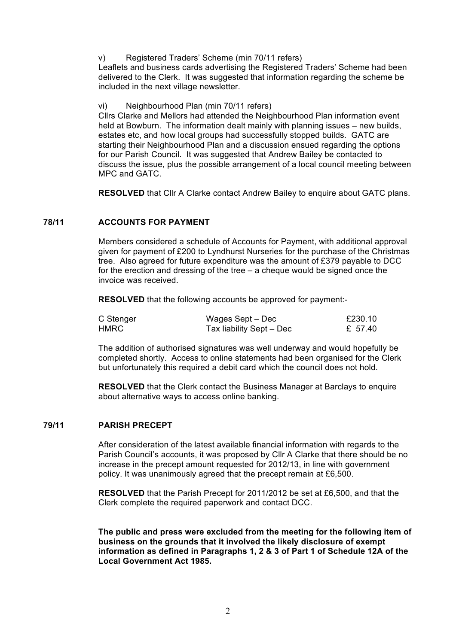v) Registered Traders' Scheme (min 70/11 refers)

Leaflets and business cards advertising the Registered Traders' Scheme had been delivered to the Clerk. It was suggested that information regarding the scheme be included in the next village newsletter.

vi) Neighbourhood Plan (min 70/11 refers)

Cllrs Clarke and Mellors had attended the Neighbourhood Plan information event held at Bowburn. The information dealt mainly with planning issues – new builds, estates etc, and how local groups had successfully stopped builds. GATC are starting their Neighbourhood Plan and a discussion ensued regarding the options for our Parish Council. It was suggested that Andrew Bailey be contacted to discuss the issue, plus the possible arrangement of a local council meeting between MPC and GATC.

**RESOLVED** that Cllr A Clarke contact Andrew Bailey to enquire about GATC plans.

# **78/11 ACCOUNTS FOR PAYMENT**

Members considered a schedule of Accounts for Payment, with additional approval given for payment of £200 to Lyndhurst Nurseries for the purchase of the Christmas tree. Also agreed for future expenditure was the amount of £379 payable to DCC for the erection and dressing of the tree – a cheque would be signed once the invoice was received.

**RESOLVED** that the following accounts be approved for payment:-

| C Stenger | Wages Sept – Dec         | £230.10 |
|-----------|--------------------------|---------|
| HMRC .    | Tax liability Sept - Dec | £ 57.40 |

The addition of authorised signatures was well underway and would hopefully be completed shortly. Access to online statements had been organised for the Clerk but unfortunately this required a debit card which the council does not hold.

**RESOLVED** that the Clerk contact the Business Manager at Barclays to enquire about alternative ways to access online banking.

## **79/11 PARISH PRECEPT**

After consideration of the latest available financial information with regards to the Parish Council's accounts, it was proposed by Cllr A Clarke that there should be no increase in the precept amount requested for 2012/13, in line with government policy. It was unanimously agreed that the precept remain at £6,500.

**RESOLVED** that the Parish Precept for 2011/2012 be set at £6,500, and that the Clerk complete the required paperwork and contact DCC.

**The public and press were excluded from the meeting for the following item of business on the grounds that it involved the likely disclosure of exempt information as defined in Paragraphs 1, 2 & 3 of Part 1 of Schedule 12A of the Local Government Act 1985.**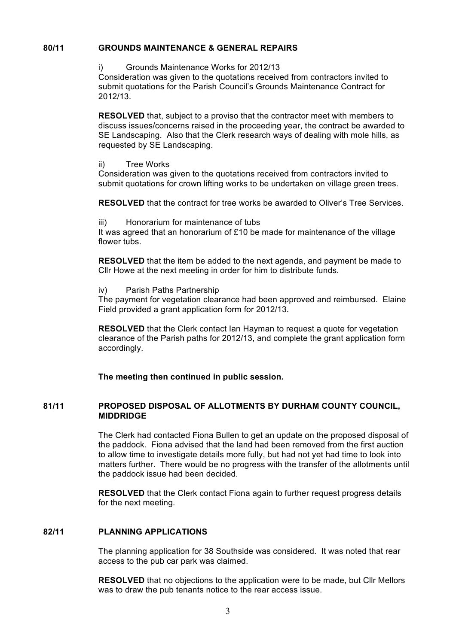# **80/11 GROUNDS MAINTENANCE & GENERAL REPAIRS**

## i) Grounds Maintenance Works for 2012/13

Consideration was given to the quotations received from contractors invited to submit quotations for the Parish Council's Grounds Maintenance Contract for 2012/13.

**RESOLVED** that, subject to a proviso that the contractor meet with members to discuss issues/concerns raised in the proceeding year, the contract be awarded to SE Landscaping. Also that the Clerk research ways of dealing with mole hills, as requested by SE Landscaping.

## ii) Tree Works

Consideration was given to the quotations received from contractors invited to submit quotations for crown lifting works to be undertaken on village green trees.

**RESOLVED** that the contract for tree works be awarded to Oliver's Tree Services.

## iii) Honorarium for maintenance of tubs

It was agreed that an honorarium of £10 be made for maintenance of the village flower tubs.

**RESOLVED** that the item be added to the next agenda, and payment be made to Cllr Howe at the next meeting in order for him to distribute funds.

## iv) Parish Paths Partnership

The payment for vegetation clearance had been approved and reimbursed. Elaine Field provided a grant application form for 2012/13.

**RESOLVED** that the Clerk contact Ian Hayman to request a quote for vegetation clearance of the Parish paths for 2012/13, and complete the grant application form accordingly.

**The meeting then continued in public session***.*

## **81/11 PROPOSED DISPOSAL OF ALLOTMENTS BY DURHAM COUNTY COUNCIL, MIDDRIDGE**

The Clerk had contacted Fiona Bullen to get an update on the proposed disposal of the paddock. Fiona advised that the land had been removed from the first auction to allow time to investigate details more fully, but had not yet had time to look into matters further. There would be no progress with the transfer of the allotments until the paddock issue had been decided.

**RESOLVED** that the Clerk contact Fiona again to further request progress details for the next meeting.

# **82/11 PLANNING APPLICATIONS**

The planning application for 38 Southside was considered. It was noted that rear access to the pub car park was claimed.

**RESOLVED** that no objections to the application were to be made, but Cllr Mellors was to draw the pub tenants notice to the rear access issue.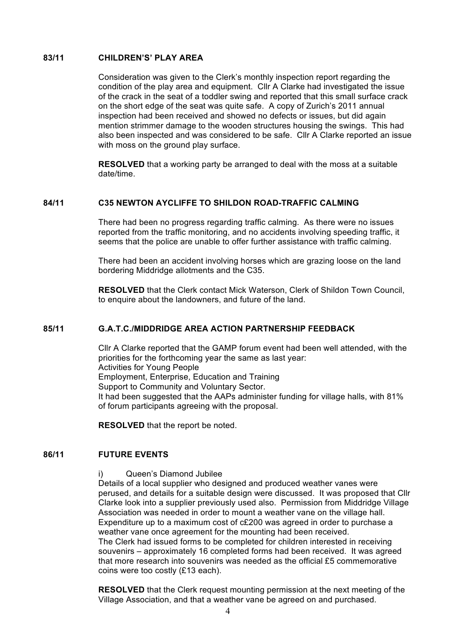# **83/11 CHILDREN'S' PLAY AREA**

Consideration was given to the Clerk's monthly inspection report regarding the condition of the play area and equipment. Cllr A Clarke had investigated the issue of the crack in the seat of a toddler swing and reported that this small surface crack on the short edge of the seat was quite safe. A copy of Zurich's 2011 annual inspection had been received and showed no defects or issues, but did again mention strimmer damage to the wooden structures housing the swings. This had also been inspected and was considered to be safe. Cllr A Clarke reported an issue with moss on the ground play surface.

**RESOLVED** that a working party be arranged to deal with the moss at a suitable date/time.

# **84/11 C35 NEWTON AYCLIFFE TO SHILDON ROAD-TRAFFIC CALMING**

There had been no progress regarding traffic calming. As there were no issues reported from the traffic monitoring, and no accidents involving speeding traffic, it seems that the police are unable to offer further assistance with traffic calming.

There had been an accident involving horses which are grazing loose on the land bordering Middridge allotments and the C35.

**RESOLVED** that the Clerk contact Mick Waterson, Clerk of Shildon Town Council, to enquire about the landowners, and future of the land.

## **85/11 G.A.T.C./MIDDRIDGE AREA ACTION PARTNERSHIP FEEDBACK**

Cllr A Clarke reported that the GAMP forum event had been well attended, with the priorities for the forthcoming year the same as last year: Activities for Young People Employment, Enterprise, Education and Training Support to Community and Voluntary Sector. It had been suggested that the AAPs administer funding for village halls, with 81% of forum participants agreeing with the proposal.

**RESOLVED** that the report be noted.

## **86/11 FUTURE EVENTS**

i) Queen's Diamond Jubilee

Details of a local supplier who designed and produced weather vanes were perused, and details for a suitable design were discussed. It was proposed that Cllr Clarke look into a supplier previously used also. Permission from Middridge Village Association was needed in order to mount a weather vane on the village hall. Expenditure up to a maximum cost of c£200 was agreed in order to purchase a weather vane once agreement for the mounting had been received. The Clerk had issued forms to be completed for children interested in receiving souvenirs – approximately 16 completed forms had been received. It was agreed that more research into souvenirs was needed as the official £5 commemorative coins were too costly (£13 each).

**RESOLVED** that the Clerk request mounting permission at the next meeting of the Village Association, and that a weather vane be agreed on and purchased.